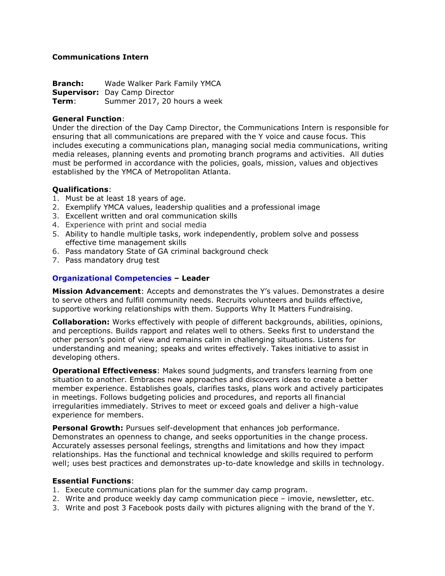# **Communications Intern**

**Branch:** Wade Walker Park Family YMCA **Supervisor:** Day Camp Director<br>**Term**: Summer 2017, 20 h Summer 2017, 20 hours a week

# **General Function**:

Under the direction of the Day Camp Director, the Communications Intern is responsible for ensuring that all communications are prepared with the Y voice and cause focus. This includes executing a communications plan, managing social media communications, writing media releases, planning events and promoting branch programs and activities. All duties must be performed in accordance with the policies, goals, mission, values and objectives established by the YMCA of Metropolitan Atlanta.

# **Qualifications**:

- 1. Must be at least 18 years of age.
- 2. Exemplify YMCA values, leadership qualities and a professional image
- 3. Excellent written and oral communication skills
- 4. Experience with print and social media
- 5. Ability to handle multiple tasks, work independently, problem solve and possess effective time management skills
- 6. Pass mandatory State of GA criminal background check
- 7. Pass mandatory drug test

# **Organizational Competencies – Leader**

**Mission Advancement**: Accepts and demonstrates the Y's values. Demonstrates a desire to serve others and fulfill community needs. Recruits volunteers and builds effective, supportive working relationships with them. Supports Why It Matters Fundraising.

**Collaboration:** Works effectively with people of different backgrounds, abilities, opinions, and perceptions. Builds rapport and relates well to others. Seeks first to understand the other person's point of view and remains calm in challenging situations. Listens for understanding and meaning; speaks and writes effectively. Takes initiative to assist in developing others.

**Operational Effectiveness**: Makes sound judgments, and transfers learning from one situation to another. Embraces new approaches and discovers ideas to create a better member experience. Establishes goals, clarifies tasks, plans work and actively participates in meetings. Follows budgeting policies and procedures, and reports all financial irregularities immediately. Strives to meet or exceed goals and deliver a high-value experience for members.

**Personal Growth:** Pursues self-development that enhances job performance. Demonstrates an openness to change, and seeks opportunities in the change process. Accurately assesses personal feelings, strengths and limitations and how they impact relationships. Has the functional and technical knowledge and skills required to perform well; uses best practices and demonstrates up-to-date knowledge and skills in technology.

### **Essential Functions**:

- 1. Execute communications plan for the summer day camp program.
- 2. Write and produce weekly day camp communication piece imovie, newsletter, etc.
- 3. Write and post 3 Facebook posts daily with pictures aligning with the brand of the Y.